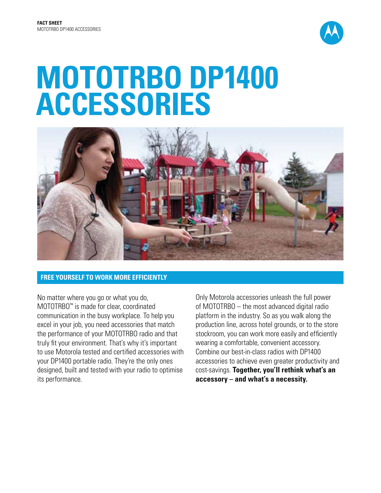

# **MOTOTRBO DP1400 ACCESSORIES**



# **FREE YOURSELF TO WORK MORE EFFICIENTLY**

No matter where you go or what you do, MOTOTRBO™ is made for clear, coordinated communication in the busy workplace. To help you excel in your job, you need accessories that match the performance of your MOTOTRBO radio and that truly fit your environment. That's why it's important to use Motorola tested and certified accessories with your DP1400 portable radio. They're the only ones designed, built and tested with your radio to optimise its performance.

Only Motorola accessories unleash the full power of MOTOTRBO – the most advanced digital radio platform in the industry. So as you walk along the production line, across hotel grounds, or to the store stockroom, you can work more easily and efficiently wearing a comfortable, convenient accessory. Combine our best-in-class radios with DP1400 accessories to achieve even greater productivity and cost-savings. **Together, you'll rethink what's an accessory – and what's a necessity.**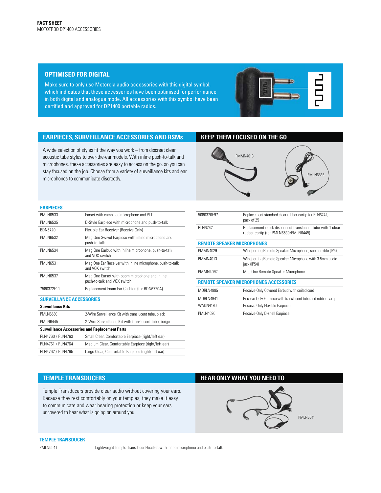## **OPTIMISED FOR DIGITAL**

Make sure to only use Motorola audio accessories with this digital symbol, which indicates that these accessories have been optimised for performance in both digital and analogue mode. All accessories with this symbol have been certified and approved for DP1400 portable radios.

# **EARPIECES, SURVEILLANCE ACCESSORIES AND RSMs KEEP THEM FOCUSED ON THE GO**

A wide selection of styles fit the way you work – from discreet clear acoustic tube styles to over-the-ear models. With inline push-to-talk and microphones, these accessories are easy to access on the go, so you can stay focused on the job. Choose from a variety of surveillance kits and ear microphones to communicate discreetly.



### **EARPIECES**

| <b>PMI N6533</b>                                      | Earset with combined microphone and PTT                                       |
|-------------------------------------------------------|-------------------------------------------------------------------------------|
| <b>PMI N6535</b>                                      | D-Style Earpiece with microphone and push-to-talk                             |
| <b>BDN6720</b>                                        | Flexible Ear Receiver (Receive Only)                                          |
| <b>PMI N6532</b>                                      | Mag One Swivel Earpiece with inline microphone and<br>push-to-talk            |
| <b>PMI N6534</b>                                      | Mag One Earbud with inline microphone, push-to-talk<br>and VOX switch         |
| <b>PMLN6531</b>                                       | Mag One Ear Receiver with inline microphone, push-to-talk<br>and VOX switch   |
| <b>PMI N6537</b>                                      | Mag One Earset with boom microphone and inline<br>push-to-talk and VOX switch |
| 7580372F11                                            | Replacement Foam Ear Cushion (for BDN6720A)                                   |
| <b>SURVEILLANCE ACCESSORIES</b>                       |                                                                               |
| <b>Surveillance Kits</b>                              |                                                                               |
| <b>PMI N6530</b>                                      | 2-Wire Surveillance Kit with translucent tube, black                          |
| <b>PMI N6445</b>                                      | 2-Wire Surveillance Kit with translucent tube, beige                          |
| <b>Surveillance Accessories and Replacement Parts</b> |                                                                               |
| RLN4760 / RLN4763                                     | Small Clear, Comfortable Earpiece (right/left ear)                            |
| RLN4761 / RLN4764                                     | Medium Clear, Comfortable Earpiece (right/left ear)                           |
| RLN4762 / RLN4765                                     | Large Clear, Comfortable Earpiece (right/left ear)                            |

| 5080370F97                                    | Replacement standard clear rubber eartip for RLN6242,<br>pack of 25                                 |
|-----------------------------------------------|-----------------------------------------------------------------------------------------------------|
| <b>RI N6242</b>                               | Replacement quick disconnect translucent tube with 1 clear<br>rubber eartip (for PMLN6530/PMLN6445) |
|                                               | <b>REMOTE SPEAKER MICROPHONES</b>                                                                   |
| PMMN4029                                      | Windporting Remote Speaker Microphone, submersible (IP57)                                           |
| PMMN4013                                      | Windporting Remote Speaker Microphone with 3.5mm audio<br>jack (IP54)                               |
| PMMN4092                                      | Mag One Remote Speaker Microphone                                                                   |
| <b>REMOTE SPEAKER MICROPHONES ACCESSORIES</b> |                                                                                                     |
| <b>MDRI N4885</b>                             | Receive-Only Covered Earbud with coiled cord                                                        |
| <b>MDRI N4941</b>                             | Receive-Only Earpiece with translucent tube and rubber eartip                                       |
| <b>WADN4190</b>                               | Receive-Only Flexible Earpiece                                                                      |
| PMI N4620                                     | Receive-Only D-shell Earpiece                                                                       |

Temple Transducers provide clear audio without covering your ears. Because they rest comfortably on your temples, they make it easy to communicate and wear hearing protection or keep your ears uncovered to hear what is going on around you.

# **TEMPLE TRANSDUCERS HEAR ONLY WHAT YOU NEED TO**



## **TEMPLE TRANSDUCER**

PMLN6541 Lightweight Temple Transducer Headset with inline microphone and push-to-talk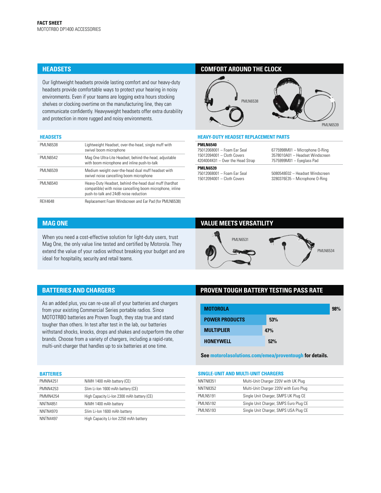Our lightweight headsets provide lasting comfort and our heavy-duty headsets provide comfortable ways to protect your hearing in noisy environments. Even if your teams are logging extra hours stocking shelves or clocking overtime on the manufacturing line, they can communicate confidently. Heavyweight headsets offer extra durability and protection in more rugged and noisy environments.

### **HEADSETS**

| <b>PMI N6538</b> | Lightweight Headset, over-the-head, single muff with<br>swivel boom microphone                                                                               |
|------------------|--------------------------------------------------------------------------------------------------------------------------------------------------------------|
| <b>PMI N6542</b> | Mag One Ultra-Lite Headset, behind-the-head, adjustable<br>with boom microphone and inline push-to-talk                                                      |
| <b>PMLN6539</b>  | Medium weight over-the-head dual muff headset with<br>swivel noise cancelling boom microphone                                                                |
| <b>PMI N6540</b> | Heavy-Duty Headset, behind-the-head dual muff (hardhat<br>compatible) with noise cancelling boom microphone, inline<br>push-to-talk and 24dB noise reduction |
| <b>RFX4648</b>   | Replacement Foam Windscreen and Ear Pad (for PMLN6538)                                                                                                       |

# **HEADSETS COMFORT AROUND THE CLOCK**



## **HEAVY-DUTY HEADSET REPLACEMENT PARTS**

**PMLN6540** 75012068001 – Foam Ear Seal

15012094001 – Cloth Covers 4204004K01 – Over the Head Strap

## **PMLN6539**

75012068001 – Foam Ear Seal 15012094001 – Cloth Covers

6775998M01 – Microphone O-Ring 3578010A01 – Headset Windscreen 7575999M01 – Eyeglass Pad

5080548E02 – Headset Windscreen 3280376E35 – Microphone O-Ring

When you need a cost-effective solution for light-duty users, trust Mag One, the only value line tested and certified by Motorola. They extend the value of your radios without breaking your budget and are ideal for hospitality, security and retail teams.

# **MAG ONE VALUE MEETS VERSATILITY**



# **BATTERIES AND CHARGERS**

As an added plus, you can re-use all of your batteries and chargers from your existing Commercial Series portable radios. Since MOTOTRBO batteries are Proven Tough, they stay true and stand tougher than others. In test after test in the lab, our batteries withstand shocks, knocks, drops and shakes and outperform the other brands. Choose from a variety of chargers, including a rapid-rate, multi-unit charger that handles up to six batteries at one time.

# **PROVEN TOUGH BATTERY TESTING PASS RATE**

| <b>MOTOROLA</b>       |     | 98% |
|-----------------------|-----|-----|
| <b>POWER PRODUCTS</b> | 53% |     |
| <b>MULTIPLIER</b>     | 47% |     |
| <b>HONEYWELL</b>      | 52% |     |

**See motorolasolutions.com/emea/proventough for details.**

| <b>BATTERIES</b> |                                            |
|------------------|--------------------------------------------|
| <b>PMNN4251</b>  | NiMH 1400 mAh battery (CE)                 |
| PMNN4253         | Slim Li-Ion 1600 mAh battery (CE)          |
| <b>PMMN4254</b>  | High Capacity Li-Ion 2300 mAh battery (CE) |
| <b>NNTN4851</b>  | NiMH 1400 mAh battery                      |
| <b>NNTN4970</b>  | Slim Li-Ion 1600 mAh battery               |
| <b>NNTN4497</b>  | High Capacity Li-Ion 2250 mAh battery      |

#### **SINGLE-UNIT AND MULTI-UNIT CHARGERS**

| <b>NNTN8351</b>  | Multi-Unit Charger 220V with UK Plug   |  |
|------------------|----------------------------------------|--|
| NNTN8352         | Multi-Unit Charger 220V with Euro Plug |  |
| <b>PMI N5191</b> | Single Unit Charger, SMPS UK Plug CE   |  |
| <b>PMI N5192</b> | Single Unit Charger, SMPS Euro Plug CE |  |
| <b>PMI N5193</b> | Single Unit Charger, SMPS USA Plug CE  |  |
|                  |                                        |  |